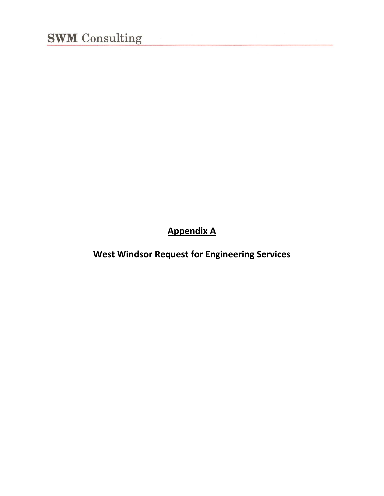**Appendix A**

**West Windsor Request for Engineering Services**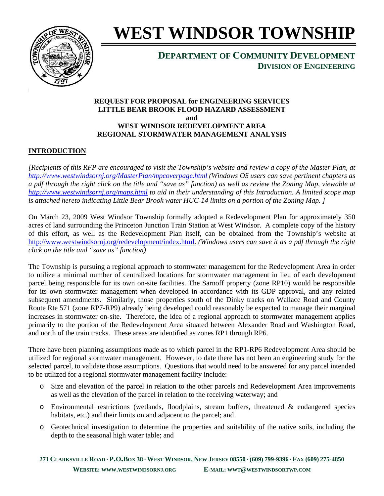

# **WEST WINDSOR TOWNSHIP**

## **DEPARTMENT OF COMMUNITY DEVELOPMENT DIVISION OF ENGINEERING**

#### **REQUEST FOR PROPOSAL for ENGINEERING SERVICES LITTLE BEAR BROOK FLOOD HAZARD ASSESSMENT and WEST WINDSOR REDEVELOPMENT AREA REGIONAL STORMWATER MANAGEMENT ANALYSIS**

## **INTRODUCTION**

*[Recipients of this RFP are encouraged to visit the Township's website and review a copy of the Master Plan, at http://www.westwindsornj.org/MasterPlan/mpcoverpage.html (Windows OS users can save pertinent chapters as a pdf through the right click on the title and "save as" function) as well as review the Zoning Map, viewable at http://www.westwindsornj.org/maps.html to aid in their understanding of this Introduction. A limited scope map is attached hereto indicating Little Bear Brook water HUC-14 limits on a portion of the Zoning Map. ]* 

On March 23, 2009 West Windsor Township formally adopted a Redevelopment Plan for approximately 350 acres of land surrounding the Princeton Junction Train Station at West Windsor. A complete copy of the history of this effort, as well as the Redevelopment Plan itself, can be obtained from the Township's website at http://www.westwindsornj.org/redevelopment/index.html. *(Windows users can save it as a pdf through the right click on the title and "save as" function)*

The Township is pursuing a regional approach to stormwater management for the Redevelopment Area in order to utilize a minimal number of centralized locations for stormwater management in lieu of each development parcel being responsible for its own on-site facilities. The Sarnoff property (zone RP10) would be responsible for its own stormwater management when developed in accordance with its GDP approval, and any related subsequent amendments. Similarly, those properties south of the Dinky tracks on Wallace Road and County Route Rte 571 (zone RP7-RP9) already being developed could reasonably be expected to manage their marginal increases in stormwater on-site. Therefore, the idea of a regional approach to stormwater management applies primarily to the portion of the Redevelopment Area situated between Alexander Road and Washington Road, and north of the train tracks. These areas are identified as zones RP1 through RP6.

There have been planning assumptions made as to which parcel in the RP1-RP6 Redevelopment Area should be utilized for regional stormwater management. However, to date there has not been an engineering study for the selected parcel, to validate those assumptions. Questions that would need to be answered for any parcel intended to be utilized for a regional stormwater management facility include:

- o Size and elevation of the parcel in relation to the other parcels and Redevelopment Area improvements as well as the elevation of the parcel in relation to the receiving waterway; and
- $\circ$  Environmental restrictions (wetlands, floodplains, stream buffers, threatened & endangered species habitats, etc.) and their limits on and adjacent to the parcel; and
- o Geotechnical investigation to determine the properties and suitability of the native soils, including the depth to the seasonal high water table; and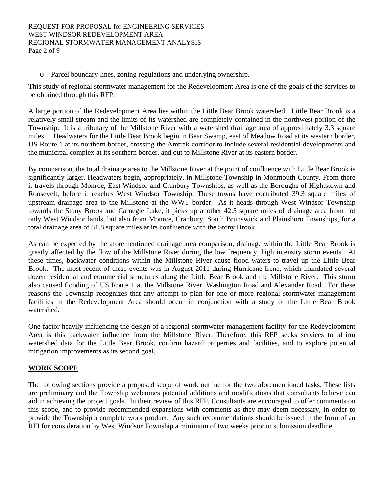o Parcel boundary lines, zoning regulations and underlying ownership.

This study of regional stormwater management for the Redevelopment Area is one of the goals of the services to be obtained through this RFP.

A large portion of the Redevelopment Area lies within the Little Bear Brook watershed. Little Bear Brook is a relatively small stream and the limits of its watershed are completely contained in the northwest portion of the Township. It is a tributary of the Millstone River with a watershed drainage area of approximately 3.3 square miles. Headwaters for the Little Bear Brook begin in Bear Swamp, east of Meadow Road at its western border, US Route 1 at its northern border, crossing the Amtrak corridor to include several residential developments and the municipal complex at its southern border, and out to Millstone River at its eastern border.

By comparison, the total drainage area to the Millstone River at the point of confluence with Little Bear Brook is significantly larger. Headwaters begin, appropriately, in Millstone Township in Monmouth County. From there it travels through Monroe, East Windsor and Cranbury Townships, as well as the Boroughs of Hightstown and Roosevelt, before it reaches West Windsor Township. These towns have contributed 39.3 square miles of upstream drainage area to the Millstone at the WWT border. As it heads through West Windsor Township towards the Stony Brook and Carnegie Lake, it picks up another 42.5 square miles of drainage area from not only West Windsor lands, but also from Monroe, Cranbury, South Brunswick and Plainsboro Townships, for a total drainage area of 81.8 square miles at its confluence with the Stony Brook.

As can be expected by the aforementioned drainage area comparison, drainage within the Little Bear Brook is greatly affected by the flow of the Millstone River during the low frequency, high intensity storm events. At these times, backwater conditions within the Millstone River cause flood waters to travel up the Little Bear Brook. The most recent of these events was in August 2011 during Hurricane Irene, which inundated several dozen residential and commercial structures along the Little Bear Brook and the Millstone River. This storm also caused flooding of US Route 1 at the Millstone River, Washington Road and Alexander Road. For these reasons the Township recognizes that any attempt to plan for one or more regional stormwater management facilities in the Redevelopment Area should occur in conjunction with a study of the Little Bear Brook watershed.

One factor heavily influencing the design of a regional stormwater management facility for the Redevelopment Area is this backwater influence from the Millstone River. Therefore, this RFP seeks services to affirm watershed data for the Little Bear Brook, confirm hazard properties and facilities, and to explore potential mitigation improvements as its second goal.

#### **WORK SCOPE**

The following sections provide a proposed scope of work outline for the two aforementioned tasks. These lists are preliminary and the Township welcomes potential additions and modifications that consultants believe can aid in achieving the project goals. In their review of this RFP, Consultants are encouraged to offer comments on this scope, and to provide recommended expansions with comments as they may deem necessary, in order to provide the Township a complete work product. Any such recommendations should be issued in the form of an RFI for consideration by West Windsor Township a minimum of two weeks prior to submission deadline.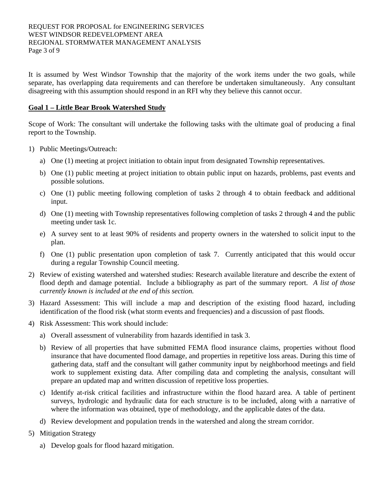It is assumed by West Windsor Township that the majority of the work items under the two goals, while separate, has overlapping data requirements and can therefore be undertaken simultaneously. Any consultant disagreeing with this assumption should respond in an RFI why they believe this cannot occur.

#### **Goal 1 – Little Bear Brook Watershed Study**

Scope of Work: The consultant will undertake the following tasks with the ultimate goal of producing a final report to the Township.

- 1) Public Meetings/Outreach:
	- a) One (1) meeting at project initiation to obtain input from designated Township representatives.
	- b) One (1) public meeting at project initiation to obtain public input on hazards, problems, past events and possible solutions.
	- c) One (1) public meeting following completion of tasks 2 through 4 to obtain feedback and additional input.
	- d) One (1) meeting with Township representatives following completion of tasks 2 through 4 and the public meeting under task 1c.
	- e) A survey sent to at least 90% of residents and property owners in the watershed to solicit input to the plan.
	- f) One (1) public presentation upon completion of task 7. Currently anticipated that this would occur during a regular Township Council meeting.
- 2) Review of existing watershed and watershed studies: Research available literature and describe the extent of flood depth and damage potential. Include a bibliography as part of the summary report. *A list of those currently known is included at the end of this section.*
- 3) Hazard Assessment: This will include a map and description of the existing flood hazard, including identification of the flood risk (what storm events and frequencies) and a discussion of past floods.
- 4) Risk Assessment: This work should include:
	- a) Overall assessment of vulnerability from hazards identified in task 3.
	- b) Review of all properties that have submitted FEMA flood insurance claims, properties without flood insurance that have documented flood damage, and properties in repetitive loss areas. During this time of gathering data, staff and the consultant will gather community input by neighborhood meetings and field work to supplement existing data. After compiling data and completing the analysis, consultant will prepare an updated map and written discussion of repetitive loss properties.
	- c) Identify at-risk critical facilities and infrastructure within the flood hazard area. A table of pertinent surveys, hydrologic and hydraulic data for each structure is to be included, along with a narrative of where the information was obtained, type of methodology, and the applicable dates of the data.
	- d) Review development and population trends in the watershed and along the stream corridor.
- 5) Mitigation Strategy
	- a) Develop goals for flood hazard mitigation.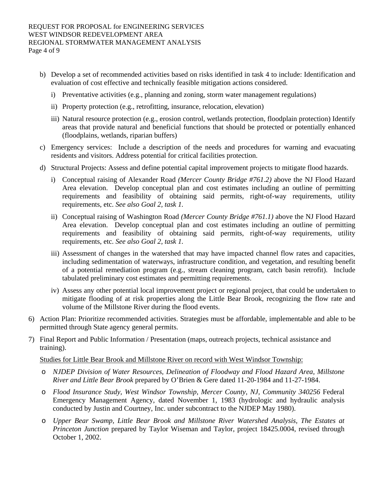- b) Develop a set of recommended activities based on risks identified in task 4 to include: Identification and evaluation of cost effective and technically feasible mitigation actions considered.
	- i) Preventative activities (e.g., planning and zoning, storm water management regulations)
	- ii) Property protection (e.g., retrofitting, insurance, relocation, elevation)
	- iii) Natural resource protection (e.g., erosion control, wetlands protection, floodplain protection) Identify areas that provide natural and beneficial functions that should be protected or potentially enhanced (floodplains, wetlands, riparian buffers)
- c) Emergency services: Include a description of the needs and procedures for warning and evacuating residents and visitors. Address potential for critical facilities protection.
- d) Structural Projects: Assess and define potential capital improvement projects to mitigate flood hazards.
	- i) Conceptual raising of Alexander Road *(Mercer County Bridge #761.2)* above the NJ Flood Hazard Area elevation. Develop conceptual plan and cost estimates including an outline of permitting requirements and feasibility of obtaining said permits, right-of-way requirements, utility requirements, etc. *See also Goal 2, task 1.*
	- ii) Conceptual raising of Washington Road *(Mercer County Bridge #761.1)* above the NJ Flood Hazard Area elevation. Develop conceptual plan and cost estimates including an outline of permitting requirements and feasibility of obtaining said permits, right-of-way requirements, utility requirements, etc. *See also Goal 2, task 1.*
	- iii) Assessment of changes in the watershed that may have impacted channel flow rates and capacities, including sedimentation of waterways, infrastructure condition, and vegetation, and resulting benefit of a potential remediation program (e.g., stream cleaning program, catch basin retrofit). Include tabulated preliminary cost estimates and permitting requirements.
	- iv) Assess any other potential local improvement project or regional project, that could be undertaken to mitigate flooding of at risk properties along the Little Bear Brook, recognizing the flow rate and volume of the Millstone River during the flood events.
- 6) Action Plan: Prioritize recommended activities. Strategies must be affordable, implementable and able to be permitted through State agency general permits.
- 7) Final Report and Public Information / Presentation (maps, outreach projects, technical assistance and training).

#### Studies for Little Bear Brook and Millstone River on record with West Windsor Township:

- o *NJDEP Division of Water Resources, Delineation of Floodway and Flood Hazard Area, Millstone River and Little Bear Brook* prepared by O'Brien & Gere dated 11-20-1984 and 11-27-1984.
- o *Flood Insurance Study, West Windsor Township, Mercer County, NJ, Community 340256* Federal Emergency Management Agency, dated November 1, 1983 (hydrologic and hydraulic analysis conducted by Justin and Courtney, Inc. under subcontract to the NJDEP May 1980).
- o *Upper Bear Swamp, Little Bear Brook and Millstone River Watershed Analysis, The Estates at Princeton Junction* prepared by Taylor Wiseman and Taylor, project 18425.0004, revised through October 1, 2002.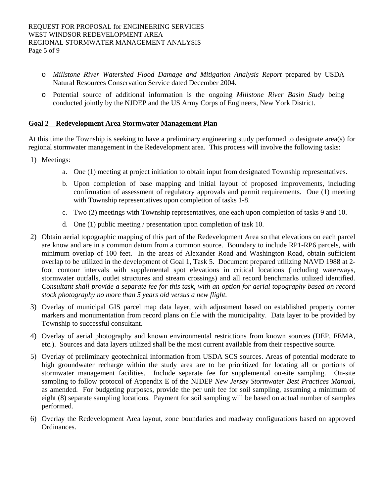- o *Millstone River Watershed Flood Damage and Mitigation Analysis Report* prepared by USDA Natural Resources Conservation Service dated December 2004.
- o Potential source of additional information is the ongoing *Millstone River Basin Study* being conducted jointly by the NJDEP and the US Army Corps of Engineers, New York District.

#### **Goal 2 – Redevelopment Area Stormwater Management Plan**

At this time the Township is seeking to have a preliminary engineering study performed to designate area(s) for regional stormwater management in the Redevelopment area. This process will involve the following tasks:

- 1) Meetings:
	- a. One (1) meeting at project initiation to obtain input from designated Township representatives.
	- b. Upon completion of base mapping and initial layout of proposed improvements, including confirmation of assessment of regulatory approvals and permit requirements. One (1) meeting with Township representatives upon completion of tasks 1-8.
	- c. Two (2) meetings with Township representatives, one each upon completion of tasks 9 and 10.
	- d. One (1) public meeting / presentation upon completion of task 10.
- 2) Obtain aerial topographic mapping of this part of the Redevelopment Area so that elevations on each parcel are know and are in a common datum from a common source. Boundary to include RP1-RP6 parcels, with minimum overlap of 100 feet. In the areas of Alexander Road and Washington Road, obtain sufficient overlap to be utilized in the development of Goal 1, Task 5. Document prepared utilizing NAVD 1988 at 2 foot contour intervals with supplemental spot elevations in critical locations (including waterways, stormwater outfalls, outlet structures and stream crossings) and all record benchmarks utilized identified. *Consultant shall provide a separate fee for this task, with an option for aerial topography based on record stock photography no more than 5 years old versus a new flight.*
- 3) Overlay of municipal GIS parcel map data layer, with adjustment based on established property corner markers and monumentation from record plans on file with the municipality. Data layer to be provided by Township to successful consultant.
- 4) Overlay of aerial photography and known environmental restrictions from known sources (DEP, FEMA, etc.). Sources and data layers utilized shall be the most current available from their respective source.
- 5) Overlay of preliminary geotechnical information from USDA SCS sources. Areas of potential moderate to high groundwater recharge within the study area are to be prioritized for locating all or portions of stormwater management facilities. Include separate fee for supplemental on-site sampling. On-site sampling to follow protocol of Appendix E of the NJDEP *New Jersey Stormwater Best Practices Manual*, as amended. For budgeting purposes, provide the per unit fee for soil sampling, assuming a minimum of eight (8) separate sampling locations. Payment for soil sampling will be based on actual number of samples performed.
- 6) Overlay the Redevelopment Area layout, zone boundaries and roadway configurations based on approved Ordinances.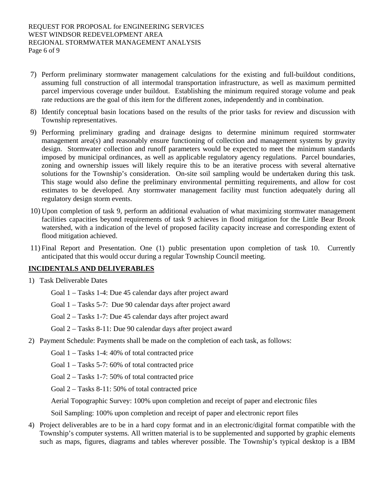- 7) Perform preliminary stormwater management calculations for the existing and full-buildout conditions, assuming full construction of all intermodal transportation infrastructure, as well as maximum permitted parcel impervious coverage under buildout. Establishing the minimum required storage volume and peak rate reductions are the goal of this item for the different zones, independently and in combination.
- 8) Identify conceptual basin locations based on the results of the prior tasks for review and discussion with Township representatives.
- 9) Performing preliminary grading and drainage designs to determine minimum required stormwater management area(s) and reasonably ensure functioning of collection and management systems by gravity design. Stormwater collection and runoff parameters would be expected to meet the minimum standards imposed by municipal ordinances, as well as applicable regulatory agency regulations. Parcel boundaries, zoning and ownership issues will likely require this to be an iterative process with several alternative solutions for the Township's consideration. On-site soil sampling would be undertaken during this task. This stage would also define the preliminary environmental permitting requirements, and allow for cost estimates to be developed. Any stormwater management facility must function adequately during all regulatory design storm events.
- 10) Upon completion of task 9, perform an additional evaluation of what maximizing stormwater management facilities capacities beyond requirements of task 9 achieves in flood mitigation for the Little Bear Brook watershed, with a indication of the level of proposed facility capacity increase and corresponding extent of flood mitigation achieved.
- 11) Final Report and Presentation. One (1) public presentation upon completion of task 10. Currently anticipated that this would occur during a regular Township Council meeting.

## **INCIDENTALS AND DELIVERABLES**

- 1) Task Deliverable Dates
	- Goal 1 Tasks 1-4: Due 45 calendar days after project award
	- Goal 1 Tasks 5-7: Due 90 calendar days after project award
	- Goal 2 Tasks 1-7: Due 45 calendar days after project award
	- Goal 2 Tasks 8-11: Due 90 calendar days after project award
- 2) Payment Schedule: Payments shall be made on the completion of each task, as follows:
	- Goal 1 Tasks 1-4: 40% of total contracted price
	- Goal 1 Tasks 5-7: 60% of total contracted price
	- Goal 2 Tasks 1-7: 50% of total contracted price
	- Goal 2 Tasks 8-11: 50% of total contracted price

Aerial Topographic Survey: 100% upon completion and receipt of paper and electronic files

Soil Sampling: 100% upon completion and receipt of paper and electronic report files

4) Project deliverables are to be in a hard copy format and in an electronic/digital format compatible with the Township's computer systems. All written material is to be supplemented and supported by graphic elements such as maps, figures, diagrams and tables wherever possible. The Township's typical desktop is a IBM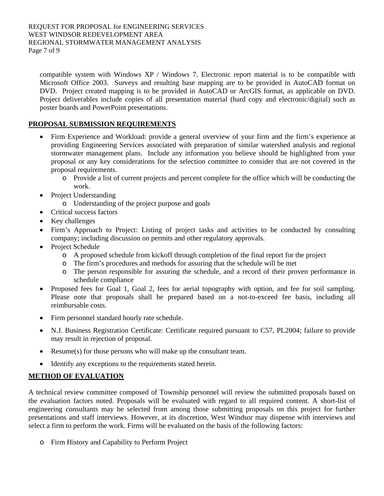compatible system with Windows XP / Windows 7. Electronic report material is to be compatible with Microsoft Office 2003. Surveys and resulting base mapping are to be provided in AutoCAD format on DVD. Project created mapping is to be provided in AutoCAD or ArcGIS format, as applicable on DVD. Project deliverables include copies of all presentation material (hard copy and electronic/digital) such as poster boards and PowerPoint presentations.

## **PROPOSAL SUBMISSION REQUIREMENTS**

- Firm Experience and Workload: provide a general overview of your firm and the firm's experience at providing Engineering Services associated with preparation of similar watershed analysis and regional stormwater management plans. Include any information you believe should be highlighted from your proposal or any key considerations for the selection committee to consider that are not covered in the proposal requirements.
	- o Provide a list of current projects and percent complete for the office which will be conducting the work.
- Project Understanding
	- o Understanding of the project purpose and goals
- Critical success factors
- Key challenges
- Firm's Approach to Project: Listing of project tasks and activities to be conducted by consulting company; including discussion on permits and other regulatory approvals.
- Project Schedule
	- o A proposed schedule from kickoff through completion of the final report for the project
	- o The firm's procedures and methods for assuring that the schedule will be met
	- o The person responsible for assuring the schedule, and a record of their proven performance in schedule compliance
- Proposed fees for Goal 1, Goal 2, fees for aerial topography with option, and fee for soil sampling. Please note that proposals shall be prepared based on a not-to-exceed fee basis, including all reimbursable costs.
- Firm personnel standard hourly rate schedule.
- N.J. Business Registration Certificate: Certificate required pursuant to C57, PL2004; failure to provide may result in rejection of proposal.
- Resume(s) for those persons who will make up the consultant team.
- Identify any exceptions to the requirements stated herein.

## **METHOD OF EVALUATION**

A technical review committee composed of Township personnel will review the submitted proposals based on the evaluation factors noted. Proposals will be evaluated with regard to all required content. A short-list of engineering consultants may be selected from among those submitting proposals on this project for further presentations and staff interviews. However, at its discretion, West Windsor may dispense with interviews and select a firm to perform the work. Firms will be evaluated on the basis of the following factors:

o Firm History and Capability to Perform Project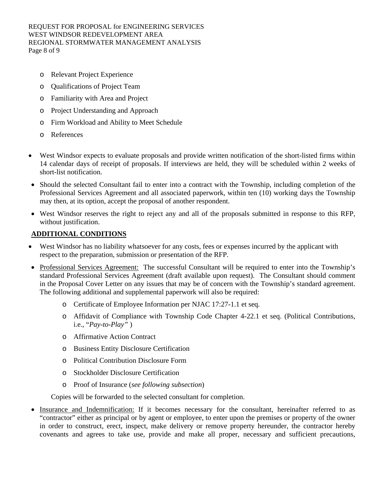REQUEST FOR PROPOSAL for ENGINEERING SERVICES WEST WINDSOR REDEVELOPMENT AREA REGIONAL STORMWATER MANAGEMENT ANALYSIS Page 8 of 9

- o Relevant Project Experience
- o Qualifications of Project Team
- o Familiarity with Area and Project
- o Project Understanding and Approach
- o Firm Workload and Ability to Meet Schedule
- o References
- West Windsor expects to evaluate proposals and provide written notification of the short-listed firms within 14 calendar days of receipt of proposals. If interviews are held, they will be scheduled within 2 weeks of short-list notification.
- Should the selected Consultant fail to enter into a contract with the Township, including completion of the Professional Services Agreement and all associated paperwork, within ten (10) working days the Township may then, at its option, accept the proposal of another respondent.
- West Windsor reserves the right to reject any and all of the proposals submitted in response to this RFP, without justification.

### **ADDITIONAL CONDITIONS**

- West Windsor has no liability whatsoever for any costs, fees or expenses incurred by the applicant with respect to the preparation, submission or presentation of the RFP.
- Professional Services Agreement: The successful Consultant will be required to enter into the Township's standard Professional Services Agreement (draft available upon request). The Consultant should comment in the Proposal Cover Letter on any issues that may be of concern with the Township's standard agreement. The following additional and supplemental paperwork will also be required:
	- o Certificate of Employee Information per NJAC 17:27-1.1 et seq.
	- o Affidavit of Compliance with Township Code Chapter 4-22.1 et seq. (Political Contributions, i.e., "*Pay-to-Play"* )
	- o Affirmative Action Contract
	- o Business Entity Disclosure Certification
	- o Political Contribution Disclosure Form
	- o Stockholder Disclosure Certification
	- o Proof of Insurance (*see following subsection*)

Copies will be forwarded to the selected consultant for completion.

Insurance and Indemnification: If it becomes necessary for the consultant, hereinafter referred to as "contractor" either as principal or by agent or employee, to enter upon the premises or property of the owner in order to construct, erect, inspect, make delivery or remove property hereunder, the contractor hereby covenants and agrees to take use, provide and make all proper, necessary and sufficient precautions,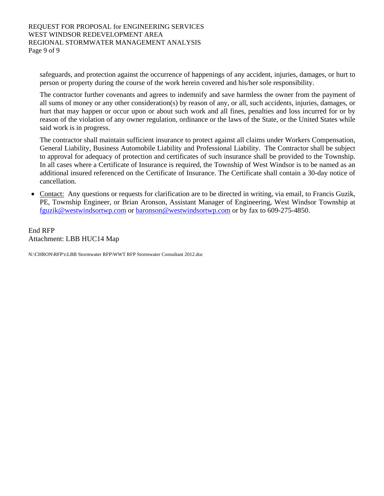safeguards, and protection against the occurrence of happenings of any accident, injuries, damages, or hurt to person or property during the course of the work herein covered and his/her sole responsibility.

The contractor further covenants and agrees to indemnify and save harmless the owner from the payment of all sums of money or any other consideration(s) by reason of any, or all, such accidents, injuries, damages, or hurt that may happen or occur upon or about such work and all fines, penalties and loss incurred for or by reason of the violation of any owner regulation, ordinance or the laws of the State, or the United States while said work is in progress.

The contractor shall maintain sufficient insurance to protect against all claims under Workers Compensation, General Liability, Business Automobile Liability and Professional Liability. The Contractor shall be subject to approval for adequacy of protection and certificates of such insurance shall be provided to the Township. In all cases where a Certificate of Insurance is required, the Township of West Windsor is to be named as an additional insured referenced on the Certificate of Insurance. The Certificate shall contain a 30-day notice of cancellation.

• Contact: Any questions or requests for clarification are to be directed in writing, via email, to Francis Guzik, PE, Township Engineer, or Brian Aronson, Assistant Manager of Engineering, West Windsor Township at fguzik@westwindsortwp.com or baronson@westwindsortwp.com or by fax to 609-275-4850.

End RFP Attachment: LBB HUC14 Map

N:\CHRON\RFP's\LBB Stormwater RFP\WWT RFP Stormwater Consultant 2012.doc